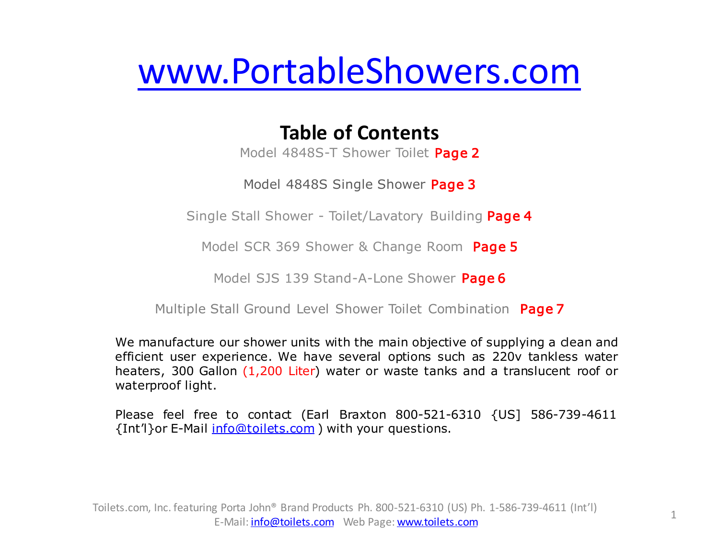# [www.PortableShowers.com](http://www.PortableShowers.com)

# **Table of Contents**

Model 4848S-T Shower Toilet Page 2

Model 4848S Single Shower Page 3

Single Stall Shower - Toilet/Lavatory Building Page 4

Model SCR 369 Shower & Change Room Page 5

Model SJS 139 Stand-A-Lone Shower Page 6

Multiple Stall Ground Level Shower Toilet Combination Page 7

We manufacture our shower units with the main objective of supplying a dean and efficient user experience. We have several options such as 220v tankless water heaters, 300 Gallon (1,200 Liter) water or waste tanks and a translucent roof or waterproof light.

Please feel free to contact (Earl Braxton 800-521-6310 {US] 586-739-4611 {Int'l}or E-Mail [info@toilets.com](mailto:info@toilets.com) ) with your questions.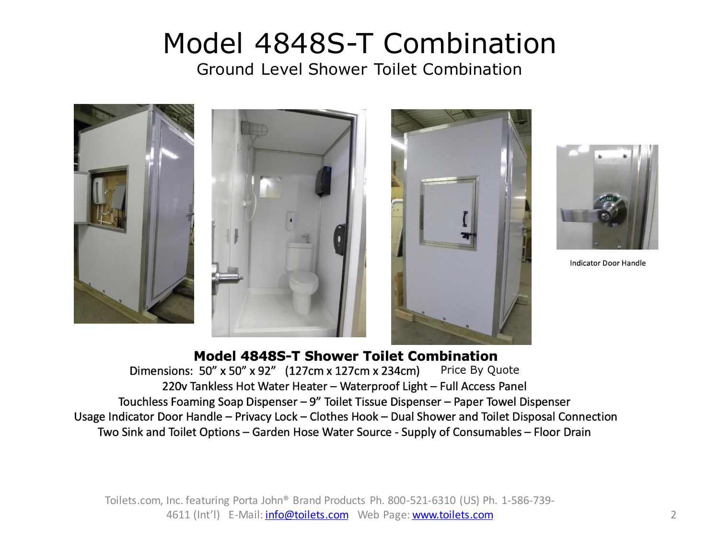# Model 4848S-T Combination

Ground Level Shower Toilet Combination



### Model 4848S-T Shower Toilet Combination

Dimensions: 50" x 50" x 92" (127cm x 127cm x 234cm) Price By Quote 220v Tankless Hot Water Heater - Waterproof Light - Full Access Panel Touchless Foaming Soap Dispenser - 9" Toilet Tissue Dispenser - Paper Towel Dispenser Usage Indicator Door Handle - Privacy Lock - Clothes Hook - Dual Shower and Toilet Disposal Connection Two Sink and Toilet Options – Garden Hose Water Source - Supply of Consumables – Floor Drain

Toilets.com, Inc. featuring Porta John® Brand Products Ph. 800-521-6310 (US) Ph. 1-586-739- 4611 (Int'l) E-Mail: *info@toilets.com* Web Page: [www.toilets.com](http://www.toilets.com/) 2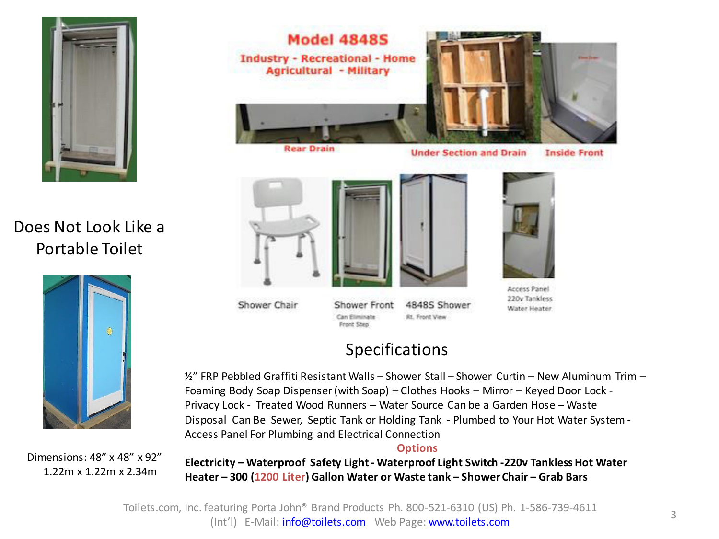

## Does Not Look Like a Portable Toilet



Dimensions: 48" x 48" x 92" 1.22m x 1.22m x 2.34m



**Under Section and Drain** 

**Inside Front** 



Shower Chair

Shower Front 4848S Shower Can Eliminate **Rt. Front View** 

Front Step



Access Panel 220v Tankless Water Heater

# Specifications

½" FRP Pebbled Graffiti Resistant Walls – Shower Stall – Shower Curtin – New Aluminum Trim – Foaming Body Soap Dispenser (with Soap) – Clothes Hooks – Mirror – Keyed Door Lock - Privacy Lock - Treated Wood Runners – Water Source Can be a Garden Hose – Waste Disposal Can Be Sewer, Septic Tank or Holding Tank - Plumbed to Your Hot Water System - Access Panel For Plumbing and Electrical Connection

#### **Options**

**Electricity – Waterproof Safety Light - Waterproof Light Switch -220v Tankless Hot Water Heater – 300 (1200 Liter) Gallon Water or Waste tank – Shower Chair – Grab Bars**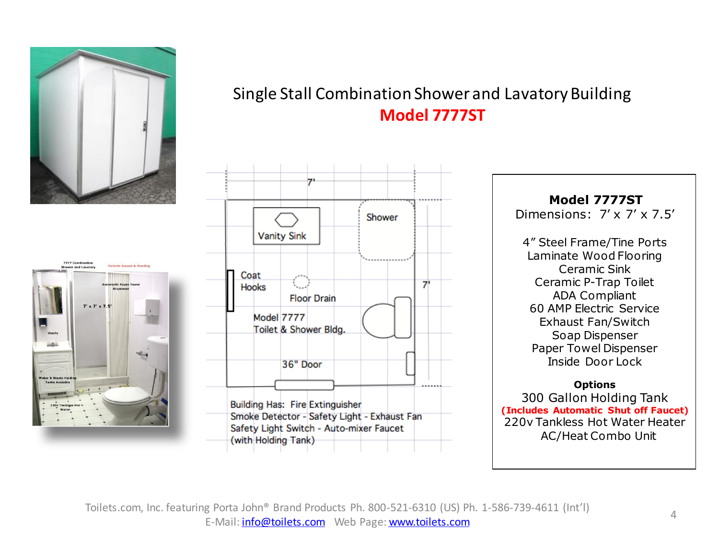



## Single Stall Combination Shower and Lavatory Building **Model 7777ST**



 **Model 7777ST**  Dimensions: 7' x 7' x 7.5' 4" Steel Frame/Tine Ports Laminate Wood Flooring Ceramic Sink Ceramic P-Trap Toilet ADA Compliant 60 AMP Electric Service Exhaust Fan/Switch Soap Dispenser Paper Towel Dispenser Inside Door Lock

#### **Options**

300 Gallon Holding Tank **(Includes Automatic Shut off Faucet)**  220v Tankless Hot Water Heater AC/Heat Combo Unit

Toilets.com, Inc. featuring Porta John® Brand Products Ph. 800-521-6310 (US) Ph. 1-586-739-4611 (Int'l) E-Mail: [info@toilets.com](mailto:info@toilets.com) Web Page: [www.toilets.com](http://www.toilets.com/)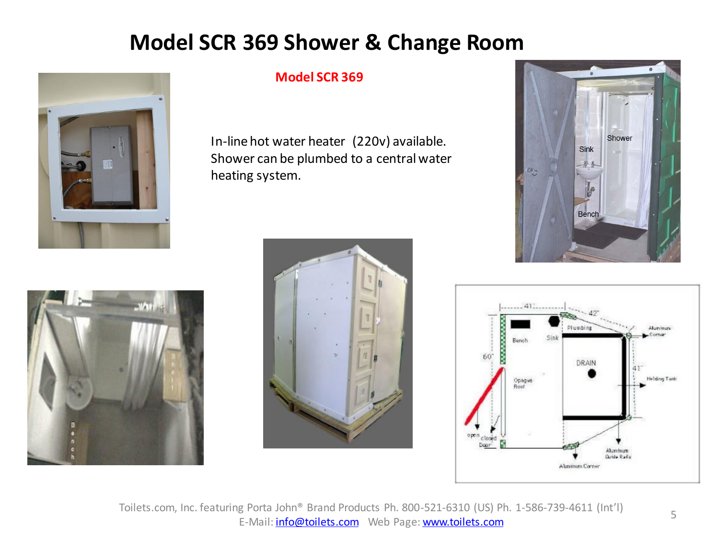# **Model SCR 369 Shower & Change Room**



### **Model SCR 369**

In-line hot water heater (220v) available. Shower can be plumbed to a central water heating system.









Toilets.com, Inc. featuring Porta John® Brand Products Ph. 800-521-6310 (US) Ph. 1-586-739-4611 (Int'l) E-Mail: [info@toilets.com](mailto:info@toilets.com) Web Page: [www.toilets.com](http://www.toilets.com/)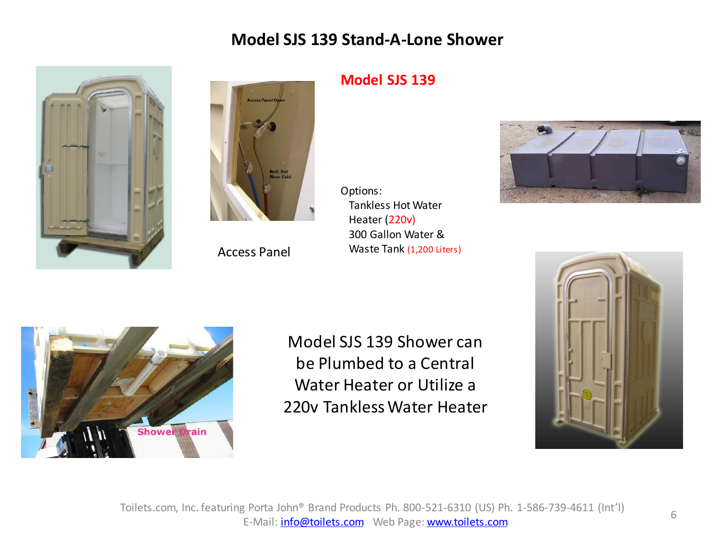## **Model SJS 139 Stand-A-Lone Shower**





Access Panel

## **Model SJS 139**

Options: Tankless Hot Water Heater (220v) 300 Gallon Water & Waste Tank (1,200 Liters)





Model SJS 139 Shower can be Plumbed to a Central Water Heater or Utilize a 220v Tankless Water Heater